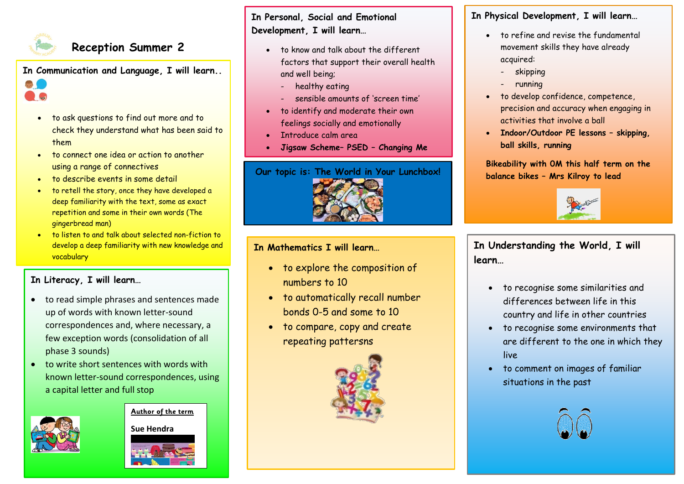

**AC** 

# **Reception Summer 2**

**In Communication and Language, I will learn..** 

- to ask questions to find out more and to check they understand what has been said to them
- to connect one idea or action to another using a range of connectives
- to describe events in some detail
- to retell the story, once they have developed a deep familiarity with the text, some as exact repetition and some in their own words (The gingerbread man)
- to listen to and talk about selected non-fiction to develop a deep familiarity with new knowledge and vocabulary

### **In Literacy, I will learn…**

- to read simple phrases and sentences made up of words with known letter-sound correspondences and, where necessary, a few exception words (consolidation of all phase 3 sounds)
- to write short sentences with words with known letter-sound correspondences, using a capital letter and full stop



**Author of the term**

**Sue Hendra**

**In Personal, Social and Emotional Development, I will learn…**

- to know and talk about the different factors that support their overall health and well being;
	- healthy eating
	- sensible amounts of 'screen time'
- to identify and moderate their own feelings socially and emotionally
- Introduce calm area
- **Jigsaw Scheme– PSED – Changing Me**



### **In Mathematics I will learn…**

- to explore the composition of numbers to 10
- to automatically recall number bonds 0-5 and some to 10
- to compare, copy and create repeating pattersns



## **In Physical Development, I will learn…**

- to refine and revise the fundamental movement skills they have already acquired:
	- skipping
	- running
- to develop confidence, competence, precision and accuracy when engaging in activities that involve a ball
- **Indoor/Outdoor PE lessons – skipping, ball skills, running**

**Bikeability with 0M this half term on the balance bikes – Mrs Kilroy to lead**



**In Understanding the World, I will learn…**

- to recognise some similarities and differences between life in this country and life in other countries
- to recognise some environments that are different to the one in which they live
- to comment on images of familiar situations in the past